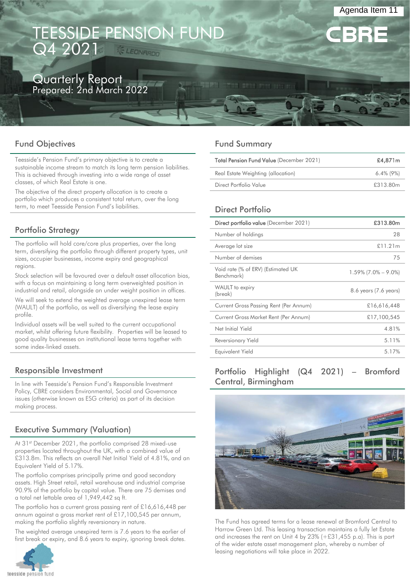# TEESSIDE PENSION FUND Q4 2021

# Quarterly Report

Prepared: 2nd March 2022

# Fund Objectives

Teesside's Pension Fund's primary objective is to create a sustainable income stream to match its long term pension liabilities. This is achieved through investing into a wide range of asset classes, of which Real Estate is one.

The objective of the direct property allocation is to create a portfolio which produces a consistent total return, over the long term, to meet Teesside Pension Fund's liabilities.

# Portfolio Strategy

The portfolio will hold core/core plus properties, over the long term, diversifying the portfolio through different property types, unit sizes, occupier businesses, income expiry and geographical regions.

Stock selection will be favoured over a default asset allocation bias, with a focus on maintaining a long term overweighted position in industrial and retail, alongside an under weight position in offices.

We will seek to extend the weighted average unexpired lease term (WAULT) of the portfolio, as well as diversifying the lease expiry profile.

Individual assets will be well suited to the current occupational market, whilst offering future flexibility. Properties will be leased to good quality businesses on institutional lease terms together with some index-linked assets.

# Responsible Investment

In line with Teesside's Pension Fund's Responsible Investment Policy, CBRE considers Environmental, Social and Governance issues (otherwise known as ESG criteria) as part of its decision making process.

# Executive Summary (Valuation)

At 31<sup>st</sup> December 2021, the portfolio comprised 28 mixed-use properties located throughout the UK, with a combined value of £313.8m. This reflects an overall Net Initial Yield of 4.81%, and an Equivalent Yield of 5.17%.

The portfolio comprises principally prime and good secondary assets. High Street retail, retail warehouse and industrial comprise 90.9% of the portfolio by capital value. There are 75 demises and a total net lettable area of 1,949,442 sq ft.

The portfolio has a current gross passing rent of £16,616,448 per annum against a gross market rent of £17,100,545 per annum, making the portfolio slightly reversionary in nature.

The weighted average unexpired term is 7.6 years to the earlier of first break or expiry, and 8.6 years to expiry, ignoring break dates.



# Fund Summary

| <b>Total Pension Fund Value (December 2021)</b> | £4,871m      |  |  |
|-------------------------------------------------|--------------|--|--|
| Real Estate Weighting (allocation)              | $6.4\%$ (9%) |  |  |
| Direct Portfolio Value                          | £313.80m     |  |  |

Agenda Item 11

# Direct Portfolio

| Direct portfolio value (December 2021)           | £313.80m               |
|--------------------------------------------------|------------------------|
| Number of holdings                               | 28                     |
| Average lot size                                 | £11.21m                |
| Number of demises                                | 75                     |
| Void rate (% of ERV) (Estimated UK<br>Benchmark) | $1.59\%$ (7.0% – 9.0%) |
| WAULT to expiry<br>(break)                       | 8.6 years (7.6 years)  |
| Current Gross Passing Rent (Per Annum)           | £16,616,448            |
| Current Gross Market Rent (Per Annum)            | £17,100,545            |
| Net Initial Yield                                | 4.81%                  |
| Reversionary Yield                               | 5.11%                  |
| Equivalent Yield                                 | 5.17%                  |
|                                                  |                        |

# Portfolio Highlight (Q4 2021) – Bromford Central, Birmingham



The Fund has agreed terms for a lease renewal at Bromford Central to Harrow Green Ltd. This leasing transaction maintains a fully let Estate and increases the rent on Unit 4 by 23% (+£31,455 p.a). This is part of the wider estate asset management plan, whereby a number of leasing negotiations will take place in 2022.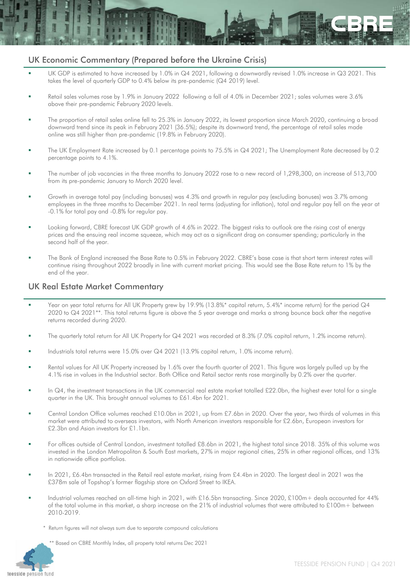# UK Economic Commentary (Prepared before the Ukraine Crisis)

- UK GDP is estimated to have increased by 1.0% in Q4 2021, following a downwardly revised 1.0% increase in Q3 2021. This takes the level of quarterly GDP to 0.4% below its pre-pandemic (Q4 2019) level.
- Retail sales volumes rose by 1.9% in January 2022 following a fall of 4.0% in December 2021; sales volumes were 3.6% above their pre-pandemic February 2020 levels.
- The proportion of retail sales online fell to 25.3% in January 2022, its lowest proportion since March 2020, continuing a broad downward trend since its peak in February 2021 (36.5%); despite its downward trend, the percentage of retail sales made online was still higher than pre-pandemic (19.8% in February 2020).
- The UK Employment Rate increased by 0.1 percentage points to 75.5% in Q4 2021; The Unemployment Rate decreased by 0.2 percentage points to 4.1%.
- The number of job vacancies in the three months to January 2022 rose to a new record of 1,298,300, an increase of 513,700 from its pre-pandemic January to March 2020 level.
- Growth in average total pay (including bonuses) was 4.3% and growth in regular pay (excluding bonuses) was 3.7% among employees in the three months to December 2021. In real terms (adjusting for inflation), total and regular pay fell on the year at -0.1% for total pay and -0.8% for regular pay.
- Looking forward, CBRE forecast UK GDP growth of 4.6% in 2022. The biggest risks to outlook are the rising cost of energy prices and the ensuing real income squeeze, which may act as a significant drag on consumer spending; particularly in the second half of the year.
- The Bank of England increased the Base Rate to 0.5% in February 2022. CBRE's base case is that short term interest rates will continue rising throughout 2022 broadly in line with current market pricing. This would see the Base Rate return to 1% by the end of the year.

# UK Real Estate Market Commentary

- Year on year total returns for All UK Property grew by 19.9% (13.8%\* capital return, 5.4%\* income return) for the period Q4 2020 to Q4 2021\*\*. This total returns figure is above the 5 year average and marks a strong bounce back after the negative returns recorded during 2020.
- The quarterly total return for All UK Property for Q4 2021 was recorded at 8.3% (7.0% capital return, 1.2% income return).
- Industrials total returns were 15.0% over Q4 2021 (13.9% capital return, 1.0% income return).
- Rental values for All UK Property increased by 1.6% over the fourth quarter of 2021. This figure was largely pulled up by the 4.1% rise in values in the Industrial sector. Both Office and Retail sector rents rose marginally by 0.2% over the quarter.
- In  $Q4$ , the investment transactions in the UK commercial real estate market totalled £22.0bn, the highest ever total for a single quarter in the UK. This brought annual volumes to £61.4bn for 2021.
- Central London Office volumes reached £10.0bn in 2021, up from £7.6bn in 2020. Over the year, two thirds of volumes in this market were attributed to overseas investors, with North American investors responsible for £2.6bn, European investors for £2.3bn and Asian investors for £1.1bn.
- For offices outside of Central London, investment totalled £8.6bn in 2021, the highest total since 2018. 35% of this volume was invested in the London Metropolitan & South East markets, 27% in major regional cities, 25% in other regional offices, and 13% in nationwide office portfolios.
- In 2021, £6.4bn transacted in the Retail real estate market, rising from £4.4bn in 2020. The largest deal in 2021 was the £378m sale of Topshop's former flagship store on Oxford Street to IKEA.
- Industrial volumes reached an all-time high in 2021, with £16.5bn transacting. Since 2020, £100m+ deals accounted for 44% of the total volume in this market, a sharp increase on the 21% of industrial volumes that were attributed to £100m+ between 2010-2019.
	- \* Return figures will not always sum due to separate compound calculations
		- \*\* Based on CBRE Monthly Index, all property total returns Dec 2021

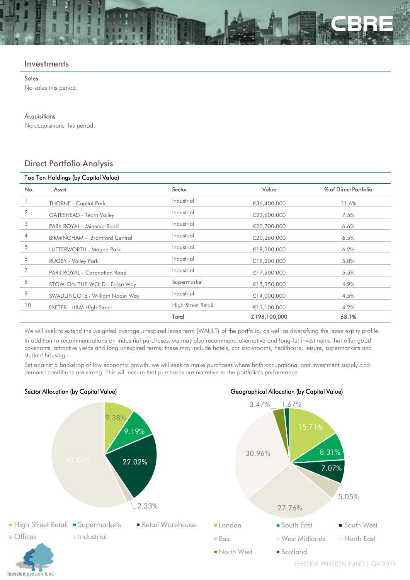#### **Investments**

#### Sales

No sales this period.

#### Acquisitions

No acquisitions this period.

# Direct Portfolio Analysis

| Top Ten Holdings (by Capital Value) |                                 |                    |              |                       |  |  |  |
|-------------------------------------|---------------------------------|--------------------|--------------|-----------------------|--|--|--|
| No.                                 | Asset                           | Sector             | Value        | % of Direct Portfolio |  |  |  |
|                                     | <b>THORNE - Capitol Park</b>    | Industrial         | £36,400,000  | 11.6%                 |  |  |  |
| 2                                   | GATESHEAD - Team Valley         | Industrial         | £23,600,000  | 7.5%                  |  |  |  |
| 3                                   | PARK ROYAL - Minerva Road       | Industrial         | £20,700,000  | 6.6%                  |  |  |  |
| 4                                   | BIRMINGHAM - Bromford Central   | Industrial         | £20,250,000  | 6.5%                  |  |  |  |
| 5                                   | LUTTERWORTH - Magna Park        | Industrial         | £19,300,000  | 6.2%                  |  |  |  |
| 6                                   | <b>RUGBY - Valley Park</b>      | Industrial         | £18,200,000  | 5.8%                  |  |  |  |
| 7                                   | PARK ROYAL - Coronation Road    | Industrial         | £17,200,000  | 5.5%                  |  |  |  |
| 8                                   | STOW-ON-THE-WOLD - Fosse Way    | Supermarket        | £15,350,000  | 4.9%                  |  |  |  |
| 9                                   | SWADLINCOTE - William Nadin Way | Industrial         | £14,000,000  | 4.5%                  |  |  |  |
| 10                                  | EXETER - H&M High Street        | High Street Retail | £13,100,000  | 4.2%                  |  |  |  |
|                                     |                                 | Total              | £198,100,000 | 63.1%                 |  |  |  |

We will seek to extend the weighted average unexpired lease term (WAULT) of the portfolio, as well as diversifying the lease expiry profile.

In addition to recommendations on industrial purchases, we may also recommend alternative and long-let investments that offer good covenants, attractive yields and long unexpired terms; these may include hotels, car showrooms, healthcare, leisure, supermarkets and student housing.

Set against a backdrop of low economic growth, we will seek to make purchases where both occupational and investment supply and demand conditions are strong. This will ensure that purchases are accretive to the portfolio's performance.

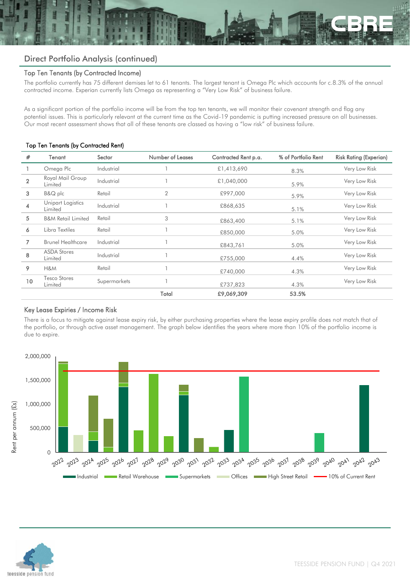# Direct Portfolio Analysis (continued)

### Top Ten Tenants (by Contracted Income)

The portfolio currently has 75 different demises let to 61 tenants. The largest tenant is Omega Plc which accounts for c.8.3% of the annual contracted income. Experian currently lists Omega as representing a "Very Low Risk" of business failure.

As a significant portion of the portfolio income will be from the top ten tenants, we will monitor their covenant strength and flag any potential issues. This is particularly relevant at the current time as the Covid-19 pandemic is putting increased pressure on all businesses. Our most recent assessment shows that all of these tenants are classed as having a "low risk" of business failure.

#### Top Ten Tenants (by Contracted Rent)

| #              | Tenant                         | Sector       | Number of Leases | Contracted Rent p.a. | % of Portfolio Rent | <b>Risk Rating (Experian)</b> |  |
|----------------|--------------------------------|--------------|------------------|----------------------|---------------------|-------------------------------|--|
|                | Omega Plc                      | Industrial   |                  | £1,413,690           | 8.3%                | Very Low Risk                 |  |
| $\overline{2}$ | Royal Mail Group<br>Limited    | Industrial   |                  | £1,040,000           | 5.9%                | Very Low Risk                 |  |
| 3              | $B&Q$ plc                      | Retail       | $\overline{2}$   | £997,000             | 5.9%                | Very Low Risk                 |  |
| 4              | Unipart Logistics<br>Limited   | Industrial   |                  | £868,635             | 5.1%                | Very Low Risk                 |  |
| 5              | <b>B&amp;M Retail Limited</b>  | Retail       | 3                | £863,400             | 5.1%                | Very Low Risk                 |  |
| 6              | Libra Textiles                 | Retail       |                  | £850,000             | 5.0%                | Very Low Risk                 |  |
| 7              | <b>Brunel Healthcare</b>       | Industrial   |                  | £843,761             | 5.0%                | Very Low Risk                 |  |
| 8              | <b>ASDA Stores</b><br>Limited  | Industrial   |                  | £755,000             | 4.4%                | Very Low Risk                 |  |
| 9              | H&M                            | Retail       |                  | £740,000             | 4.3%                | Very Low Risk                 |  |
| 10             | <b>Tesco Stores</b><br>Limited | Supermarkets |                  | £737,823             | 4.3%                |                               |  |
|                |                                |              | Total            | £9,069,309           | 53.5%               |                               |  |

# Key Lease Expiries / Income Risk

There is a focus to mitigate against lease expiry risk, by either purchasing properties where the lease expiry profile does not match that of the portfolio, or through active asset management. The graph below identifies the years where more than 10% of the portfolio income is due to expire.



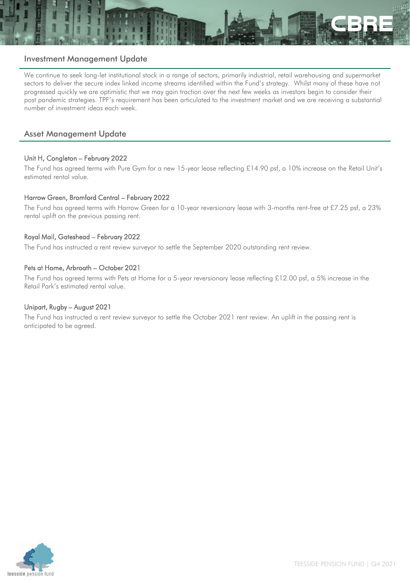

# Investment Management Update

We continue to seek long-let institutional stock in a range of sectors, primarily industrial, retail warehousing and supermarket sectors to deliver the secure index linked income streams identified within the Fund's strategy. Whilst many of these have not progressed quickly we are optimistic that we may gain traction over the next few weeks as investors begin to consider their post pandemic strategies. TPF's requirement has been articulated to the investment market and we are receiving a substantial number of investment ideas each week.

# Asset Management Update

# Unit H, Congleton – February 2022

The Fund has agreed terms with Pure Gym for a new 15-year lease reflecting £14.90 psf, a 10% increase on the Retail Unit's estimated rental value.

# Harrow Green, Bromford Central – February 2022

The Fund has agreed terms with Harrow Green for a 10-year reversionary lease with 3-months rent-free at £7.25 psf, a 23% rental uplift on the previous passing rent.

#### Royal Mail, Gateshead – February 2022

The Fund has instructed a rent review surveyor to settle the September 2020 outstanding rent review.

#### Pets at Home, Arbroath – October 2021

The Fund has agreed terms with Pets at Home for a 5-year reversionary lease reflecting £12.00 psf, a 5% increase in the Retail Park's estimated rental value.

#### Unipart, Rugby – August 2021

The Fund has instructed a rent review surveyor to settle the October 2021 rent review. An uplift in the passing rent is anticipated to be agreed.

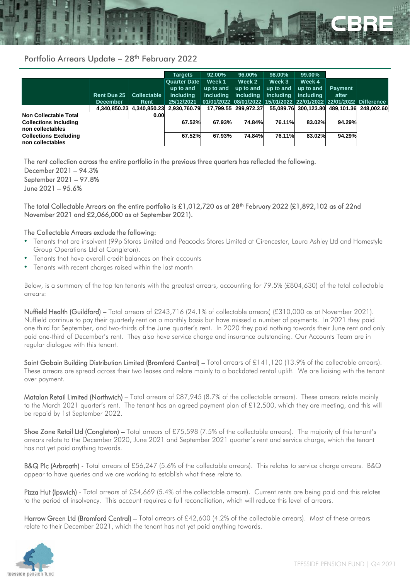

# Portfolio Arrears Update - 28<sup>th</sup> February 2022

|                                                  |                    |                    | <b>Targets</b>      | 92.00%    | 96.00%               | 98.00%    | 99.00%    |                                                                   |  |
|--------------------------------------------------|--------------------|--------------------|---------------------|-----------|----------------------|-----------|-----------|-------------------------------------------------------------------|--|
|                                                  |                    |                    | <b>Quarter Date</b> | Week 1    | Week 2               | Week 3    | Week 4    |                                                                   |  |
|                                                  |                    |                    | up to and           | up to and | up to and            | up to and | up to and | <b>Payment</b>                                                    |  |
|                                                  | <b>Rent Due 25</b> | <b>Collectable</b> | including           | including | including            | including | including | after                                                             |  |
|                                                  | <b>December</b>    | Rent               | 25/12/2021          |           |                      |           |           | 01/01/2022 08/01/2022 15/01/2022 22/01/2022 22/01/2022 Difference |  |
|                                                  | 4,340,850.23       | 4.340.850.23       | 2.930.760.79        |           | 17.799.55 299.972.37 |           |           | 55.089.76 300.123.80 489.101.36 248.002.60                        |  |
| Non Collectable Total                            |                    | 0.00               |                     |           |                      |           |           |                                                                   |  |
| <b>Collections Including</b>                     |                    |                    | 67.52%              | 67.93%    | 74.84%               | 76.11%    | 83.02%    | 94.29%                                                            |  |
| non collectables                                 |                    |                    |                     |           |                      |           |           |                                                                   |  |
| <b>Collections Excluding</b><br>non collectables |                    |                    | 67.52%              | 67.93%    | 74.84%               | 76.11%    | 83.02%    | 94.29%                                                            |  |

The rent collection across the entire portfolio in the previous three quarters has reflected the following. December 2021 – 94.3% September 2021 – 97.8% June 2021 – 95.6%

#### The total Collectable Arrears on the entire portfolio is £1,012,720 as at 28<sup>th</sup> February 2022 (£1,892,102 as of 22nd November 2021 and £2,066,000 as at September 2021).

#### The Collectable Arrears exclude the following:

- Tenants that are insolvent (99p Stores Limited and Peacocks Stores Limited at Cirencester, Laura Ashley Ltd and Homestyle Group Operations Ltd at Congleton).
- Tenants that have overall credit balances on their accounts
- Tenants with recent charges raised within the last month

Below, is a summary of the top ten tenants with the greatest arrears, accounting for 79.5% (£804,630) of the total collectable arrears:

Nuffield Health (Guildford) – Total arrears of £243,716 (24.1% of collectable arrears) (£310,000 as at November 2021). Nuffield continue to pay their quarterly rent on a monthly basis but have missed a number of payments. In 2021 they paid one third for September, and two-thirds of the June quarter's rent. In 2020 they paid nothing towards their June rent and only paid one-third of December's rent. They also have service charge and insurance outstanding. Our Accounts Team are in regular dialogue with this tenant.

Saint Gobain Building Distribution Limited (Bromford Central) – Total arrears of £141,120 (13.9% of the collectable arrears). These arrears are spread across their two leases and relate mainly to a backdated rental uplift. We are liaising with the tenant over payment.

Matalan Retail Limited (Northwich) – Total arrears of £87,945 (8.7% of the collectable arrears). These arrears relate mainly to the March 2021 quarter's rent. The tenant has an agreed payment plan of £12,500, which they are meeting, and this will be repaid by 1st September 2022.

Shoe Zone Retail Ltd (Congleton) – Total arrears of £75,598 (7.5% of the collectable arrears). The majority of this tenant's arrears relate to the December 2020, June 2021 and September 2021 quarter's rent and service charge, which the tenant has not yet paid anything towards.

B&Q Plc (Arbroath) - Total arrears of £56,247 (5.6% of the collectable arrears). This relates to service charge arrears. B&Q appear to have queries and we are working to establish what these relate to.

Pizza Hut (Ipswich) - Total arrears of £54,669 (5.4% of the collectable arrears). Current rents are being paid and this relates to the period of insolvency. This account requires a full reconciliation, which will reduce this level of arrears.

Harrow Green Ltd (Bromford Central) – Total arrears of £42,600 (4.2% of the collectable arrears). Most of these arrears relate to their December 2021, which the tenant has not yet paid anything towards.